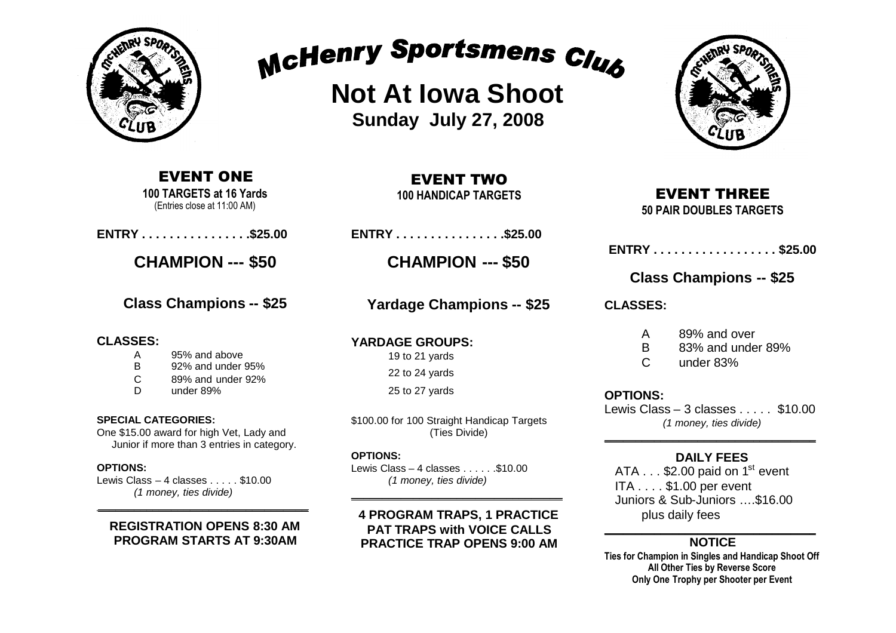

McHenry Sportsmens Club

**Not At Iowa Shoot Sunday July 27, 2008**

# EVENT ONE

**100 TARGETS at 16 Yards** (Entries close at 11:00 AM)

**ENTRY . . . . . . . . . . . . . . . .\$25.00**

**CHAMPION --- \$50**

**Class Champions -- \$25**

### **CLASSES:**

- A 95% and above<br>B 92% and under
- B 92% and under 95%
- C 89% and under 92%
- D under 89%

### **SPECIAL CATEGORIES:**

One \$15.00 award for high Vet, Lady and Junior if more than 3 entries in category.

### **OPTIONS:**

Lewis Class  $-4$  classes  $\ldots$  . \$10.00 *(1 money, ties divide)*

## **REGISTRATION OPENS 8:30 AM PROGRAM STARTS AT 9:30AM**

 $\frac{1}{2}$  , and the set of the set of the set of the set of the set of the set of the set of the set of the set of the set of the set of the set of the set of the set of the set of the set of the set of the set of the set

EVENT TWO **100 HANDICAP TARGETS**

**ENTRY . . . . . . . . . . . . . . . .\$25.00**

**CHAMPION --- \$50**

**Yardage Champions -- \$25**

### **YARDAGE GROUPS:**

19 to 21 yards

22 to 24 yards

25 to 27 yards

\$100.00 for 100 Straight Handicap Targets (Ties Divide)

#### **OPTIONS:**

Lewis Class – 4 classes  $\dots$  . . . . . \$10.00 *(1 money, ties divide)*

**4 PROGRAM TRAPS, 1 PRACTICE PAT TRAPS with VOICE CALLS PRACTICE TRAP OPENS 9:00 AM**

\_\_\_\_\_\_\_\_\_\_\_\_\_\_\_\_\_\_\_\_\_\_\_\_\_\_\_\_\_\_\_\_\_\_



# EVENT THREE

**50 PAIR DOUBLES TARGETS**

**ENTRY . . . . . . . . . . . . . . . . . . \$25.00**

**Class Champions -- \$25**

**CLASSES:**

- A 89% and over
- B 83% and under 89%
- C under 83%

**OPTIONS:** Lewis Class – 3 classes . . . . . \$10.00

*(1 money, ties divide)* \_\_\_\_\_\_\_\_\_\_\_\_\_\_\_\_\_\_\_\_\_\_\_\_\_\_\_\_\_\_\_\_\_\_

## **DAILY FEES**

ATA  $\dots$  \$2.00 paid on 1<sup>st</sup> event ITA . . . . \$1.00 per event Juniors & Sub-Juniors ….\$16.00 plus daily fees

### $\overline{\phantom{a}}$  , and the set of the set of the set of the set of the set of the set of the set of the set of the set of the set of the set of the set of the set of the set of the set of the set of the set of the set of the s **NOTICE**

**Ties for Champion in Singles and Handicap Shoot Off All Other Ties by Reverse Score Only One Trophy per Shooter per Event**